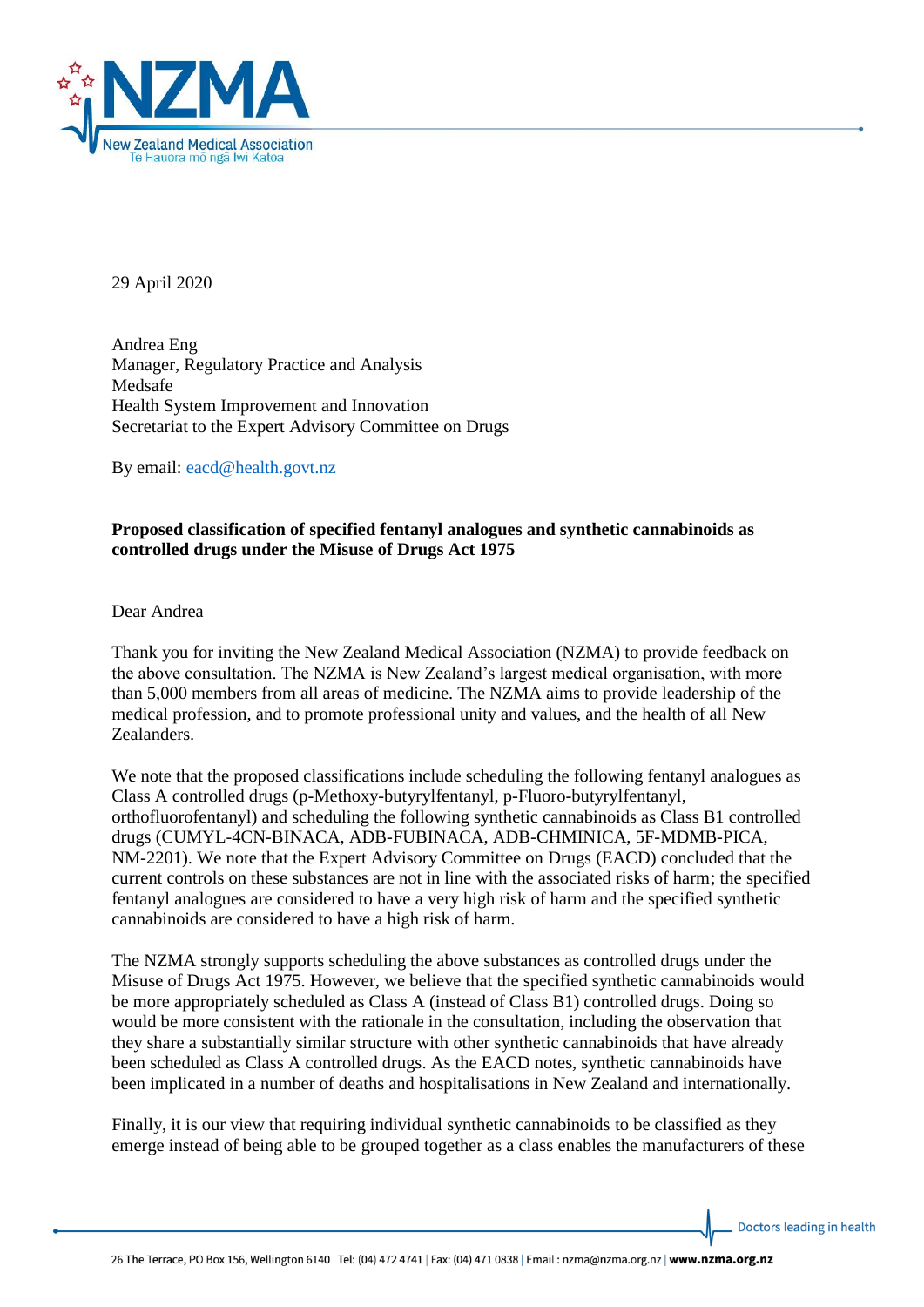

29 April 2020

Andrea Eng Manager, Regulatory Practice and Analysis Medsafe Health System Improvement and Innovation Secretariat to the Expert Advisory Committee on Drugs

By email: [eacd@health.govt.nz](mailto:eacd@health.govt.nz)

## **Proposed classification of specified fentanyl analogues and synthetic cannabinoids as controlled drugs under the Misuse of Drugs Act 1975**

Dear Andrea

Thank you for inviting the New Zealand Medical Association (NZMA) to provide feedback on the above consultation. The NZMA is New Zealand's largest medical organisation, with more than 5,000 members from all areas of medicine. The NZMA aims to provide leadership of the medical profession, and to promote professional unity and values, and the health of all New Zealanders.

We note that the proposed classifications include scheduling the following fentanyl analogues as Class A controlled drugs (p-Methoxy-butyrylfentanyl, p-Fluoro-butyrylfentanyl, orthofluorofentanyl) and scheduling the following synthetic cannabinoids as Class B1 controlled drugs (CUMYL-4CN-BINACA, ADB-FUBINACA, ADB-CHMINICA, 5F-MDMB-PICA, NM-2201). We note that the Expert Advisory Committee on Drugs (EACD) concluded that the current controls on these substances are not in line with the associated risks of harm; the specified fentanyl analogues are considered to have a very high risk of harm and the specified synthetic cannabinoids are considered to have a high risk of harm.

The NZMA strongly supports scheduling the above substances as controlled drugs under the Misuse of Drugs Act 1975. However, we believe that the specified synthetic cannabinoids would be more appropriately scheduled as Class A (instead of Class B1) controlled drugs. Doing so would be more consistent with the rationale in the consultation, including the observation that they share a substantially similar structure with other synthetic cannabinoids that have already been scheduled as Class A controlled drugs. As the EACD notes, synthetic cannabinoids have been implicated in a number of deaths and hospitalisations in New Zealand and internationally.

Finally, it is our view that requiring individual synthetic cannabinoids to be classified as they emerge instead of being able to be grouped together as a class enables the manufacturers of these